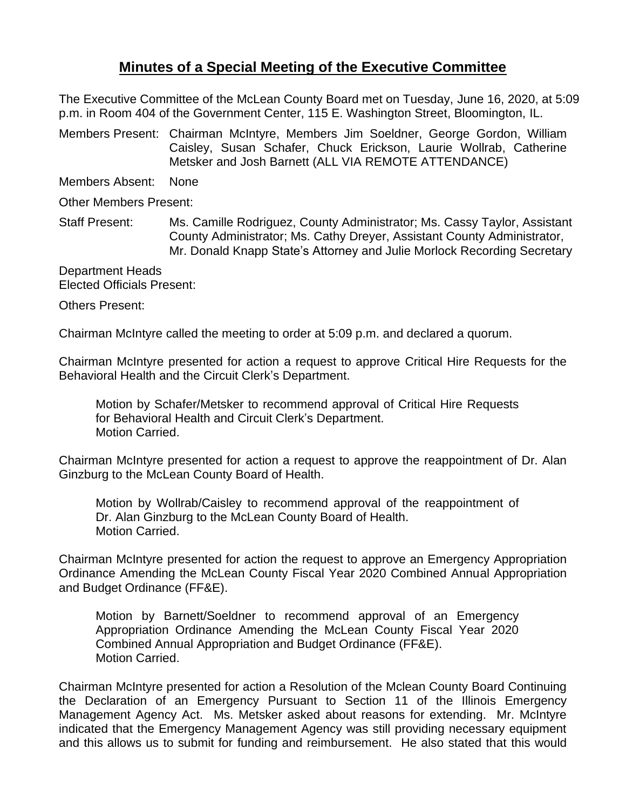## **Minutes of a Special Meeting of the Executive Committee**

The Executive Committee of the McLean County Board met on Tuesday, June 16, 2020, at 5:09 p.m. in Room 404 of the Government Center, 115 E. Washington Street, Bloomington, IL.

Members Present: Chairman McIntyre, Members Jim Soeldner, George Gordon, William Caisley, Susan Schafer, Chuck Erickson, Laurie Wollrab, Catherine Metsker and Josh Barnett (ALL VIA REMOTE ATTENDANCE)

Members Absent: None

Other Members Present:

Staff Present: Ms. Camille Rodriguez, County Administrator; Ms. Cassy Taylor, Assistant County Administrator; Ms. Cathy Dreyer, Assistant County Administrator, Mr. Donald Knapp State's Attorney and Julie Morlock Recording Secretary

Department Heads Elected Officials Present:

Others Present:

Chairman McIntyre called the meeting to order at 5:09 p.m. and declared a quorum.

Chairman McIntyre presented for action a request to approve Critical Hire Requests for the Behavioral Health and the Circuit Clerk's Department.

Motion by Schafer/Metsker to recommend approval of Critical Hire Requests for Behavioral Health and Circuit Clerk's Department. Motion Carried.

Chairman McIntyre presented for action a request to approve the reappointment of Dr. Alan Ginzburg to the McLean County Board of Health.

Motion by Wollrab/Caisley to recommend approval of the reappointment of Dr. Alan Ginzburg to the McLean County Board of Health. Motion Carried.

Chairman McIntyre presented for action the request to approve an Emergency Appropriation Ordinance Amending the McLean County Fiscal Year 2020 Combined Annual Appropriation and Budget Ordinance (FF&E).

Motion by Barnett/Soeldner to recommend approval of an Emergency Appropriation Ordinance Amending the McLean County Fiscal Year 2020 Combined Annual Appropriation and Budget Ordinance (FF&E). Motion Carried.

Chairman McIntyre presented for action a Resolution of the Mclean County Board Continuing the Declaration of an Emergency Pursuant to Section 11 of the Illinois Emergency Management Agency Act. Ms. Metsker asked about reasons for extending. Mr. McIntyre indicated that the Emergency Management Agency was still providing necessary equipment and this allows us to submit for funding and reimbursement. He also stated that this would